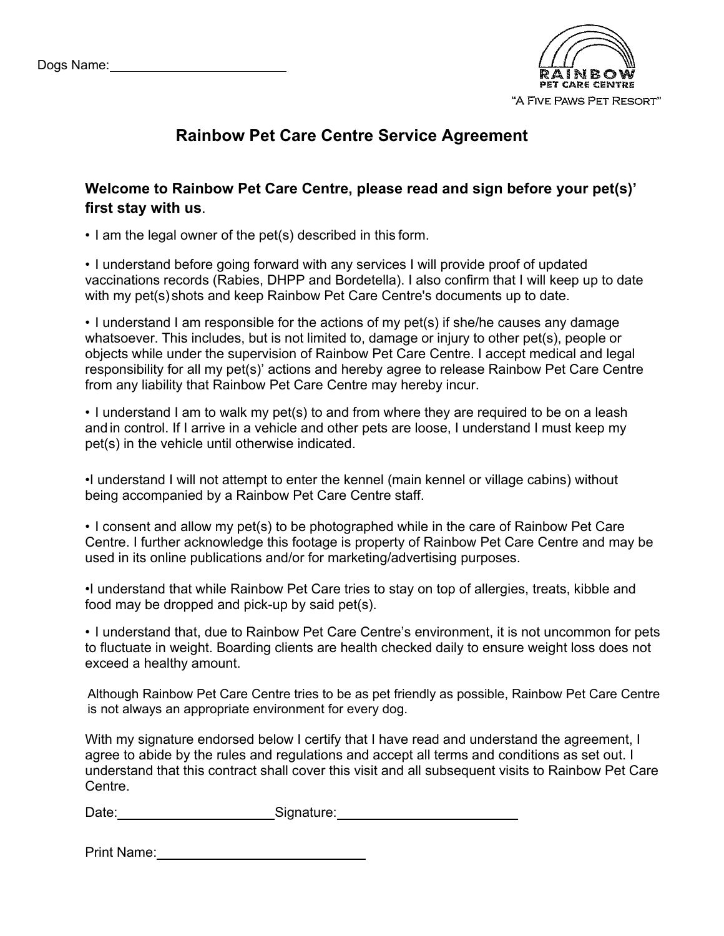

## **Rainbow Pet Care Centre Service Agreement**

## **Welcome to Rainbow Pet Care Centre, please read and sign before your pet(s)' first stay with us**.

• I am the legal owner of the pet(s) described in this form.

• I understand before going forward with any services I will provide proof of updated vaccinations records (Rabies, DHPP and Bordetella). I also confirm that I will keep up to date with my pet(s) shots and keep Rainbow Pet Care Centre's documents up to date.

• I understand I am responsible for the actions of my pet(s) if she/he causes any damage whatsoever. This includes, but is not limited to, damage or injury to other pet(s), people or objects while under the supervision of Rainbow Pet Care Centre. I accept medical and legal responsibility for all my pet(s)' actions and hereby agree to release Rainbow Pet Care Centre from any liability that Rainbow Pet Care Centre may hereby incur.

• I understand I am to walk my pet(s) to and from where they are required to be on a leash and in control. If I arrive in a vehicle and other pets are loose, I understand I must keep my pet(s) in the vehicle until otherwise indicated.

•I understand I will not attempt to enter the kennel (main kennel or village cabins) without being accompanied by a Rainbow Pet Care Centre staff.

• I consent and allow my pet(s) to be photographed while in the care of Rainbow Pet Care Centre. I further acknowledge this footage is property of Rainbow Pet Care Centre and may be used in its online publications and/or for marketing/advertising purposes.

•I understand that while Rainbow Pet Care tries to stay on top of allergies, treats, kibble and food may be dropped and pick-up by said pet(s).

• I understand that, due to Rainbow Pet Care Centre's environment, it is not uncommon for pets to fluctuate in weight. Boarding clients are health checked daily to ensure weight loss does not exceed a healthy amount.

Although Rainbow Pet Care Centre tries to be as pet friendly as possible, Rainbow Pet Care Centre is not always an appropriate environment for every dog.

With my signature endorsed below I certify that I have read and understand the agreement, I agree to abide by the rules and regulations and accept all terms and conditions as set out. I understand that this contract shall cover this visit and all subsequent visits to Rainbow Pet Care Centre.

Date: Signature: Signature:

Print Name: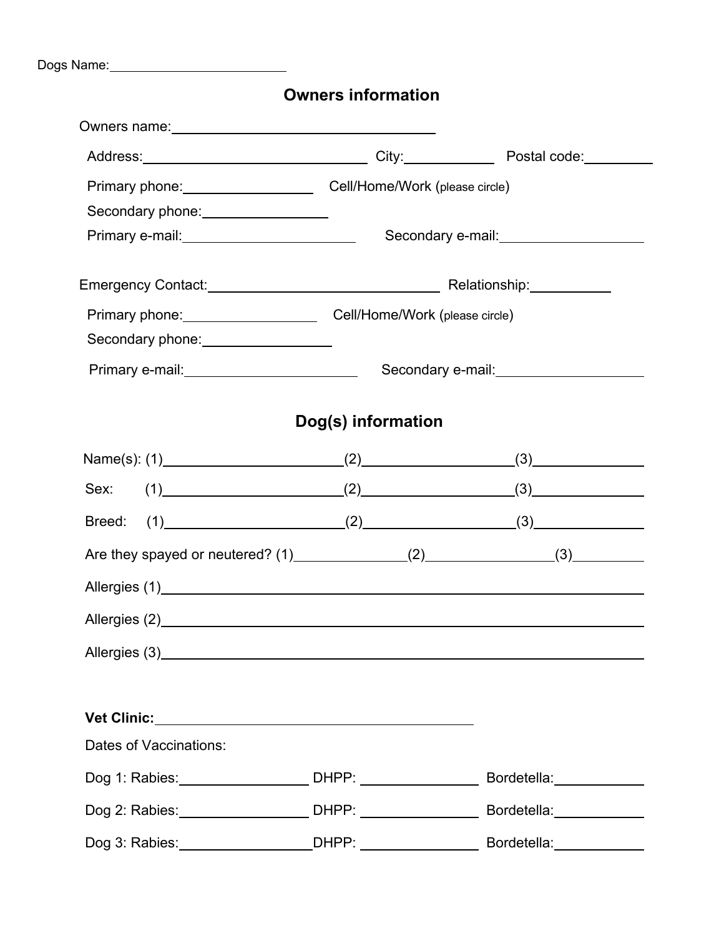Dogs Name:

## **Owners information**

| Owners name: <u>contract and contract and contract and contract and contract and contract and contract of the contract of the contract of the contract of the contract of the contract of the contract of the contract of the co</u> |                                        |                                        |                           |  |  |  |
|--------------------------------------------------------------------------------------------------------------------------------------------------------------------------------------------------------------------------------------|----------------------------------------|----------------------------------------|---------------------------|--|--|--|
|                                                                                                                                                                                                                                      |                                        |                                        |                           |  |  |  |
| Primary phone: Cell/Home/Work (please circle)                                                                                                                                                                                        |                                        |                                        |                           |  |  |  |
| Secondary phone:<br><u> Secondary phone:</u>                                                                                                                                                                                         |                                        |                                        |                           |  |  |  |
| Primary e-mail: ___________________________                                                                                                                                                                                          |                                        | Secondary e-mail:<br><u> community</u> |                           |  |  |  |
|                                                                                                                                                                                                                                      |                                        |                                        |                           |  |  |  |
| Primary phone: Cell/Home/Work (please circle)                                                                                                                                                                                        |                                        |                                        |                           |  |  |  |
| Secondary phone: __________________                                                                                                                                                                                                  |                                        |                                        |                           |  |  |  |
| Primary e-mail: ___________________________                                                                                                                                                                                          | Secondary e-mail:<br><u> community</u> |                                        |                           |  |  |  |
|                                                                                                                                                                                                                                      | Dog(s) information                     |                                        |                           |  |  |  |
| Name(s): (1) $(2)$ (2) $(3)$                                                                                                                                                                                                         |                                        |                                        |                           |  |  |  |
| Sex: (1) (2) (3) (3)                                                                                                                                                                                                                 |                                        |                                        |                           |  |  |  |
| Breed: (1) (2) (2) (3)                                                                                                                                                                                                               |                                        |                                        |                           |  |  |  |
| Are they spayed or neutered? (1) ______________(2) _______________(3) __________                                                                                                                                                     |                                        |                                        |                           |  |  |  |
|                                                                                                                                                                                                                                      |                                        |                                        |                           |  |  |  |
| Allergies (2) <b>Example 2</b> Allergies (2)                                                                                                                                                                                         |                                        |                                        |                           |  |  |  |
|                                                                                                                                                                                                                                      |                                        |                                        |                           |  |  |  |
|                                                                                                                                                                                                                                      |                                        |                                        |                           |  |  |  |
|                                                                                                                                                                                                                                      |                                        |                                        |                           |  |  |  |
| Dates of Vaccinations:                                                                                                                                                                                                               |                                        |                                        |                           |  |  |  |
| Dog 1: Rabies: ________________________ DHPP: ________________                                                                                                                                                                       |                                        |                                        | Bordetella: _____________ |  |  |  |
| Dog 2: Rabies: _________________________ DHPP: ___________________                                                                                                                                                                   |                                        |                                        | Bordetella: _____________ |  |  |  |
|                                                                                                                                                                                                                                      |                                        |                                        |                           |  |  |  |